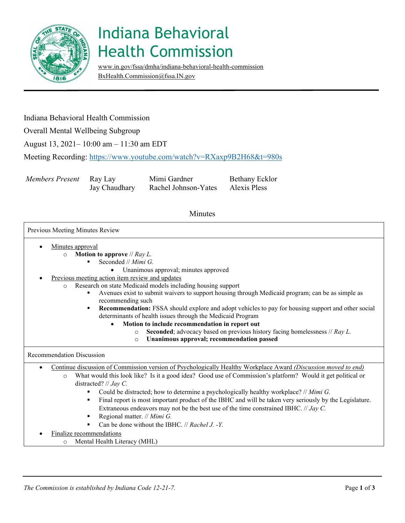

# Indiana Behavioral Health Commission

[www.in.gov/fssa/dmha/indiana-behavioral-health-commission](http://www.in.gov/fssa/dmha/indiana-behavioral-health-commission) [BxHealth.Commission@fssa.IN.gov](mailto:BxHealth.Commission@fssa.IN.gov) 

### Indiana Behavioral Health Commission

Overall Mental Wellbeing Subgroup

August 13, 2021– 10:00 am – 11:30 am EDT

Meeting Recording:<https://www.youtube.com/watch?v=RXaxp9B2H68&t=980s>

*Members Present* **Ray Lay Mimi Gardner** Bethany Ecklor

Jay Chaudhary Rachel Johnson-Yates Alexis Pless

### Minutes

#### Previous Meeting Minutes Review

- Minutes approval
	- o **Motion to approve** // *Ray L.* 
		- Seconded // *Mimi G.* 
			- Unanimous approval; minutes approved
- Previous meeting action item review and updates
	- o Research on state Medicaid models including housing support
		- Avenues exist to submit waivers to support housing through Medicaid program; can be as simple as recommending such
		- **Recommendation:** FSSA should explore and adopt vehicles to pay for housing support and other social determinants of health issues through the Medicaid Program
			- **Motion to include recommendation in report out** 
				- o **Seconded**; advocacy based on previous history facing homelessness // *Ray L.* 
					- o **Unanimous approval; recommendation passed**

#### Recommendation Discussion

- Continue discussion of Commission version of Psychologically Healthy Workplace Award *(Discussion moved to end)* 
	- o What would this look like? Is it a good idea? Good use of Commission's platform? Would it get political or distracted? // *Jay C.* 
		- Could be distracted; how to determine a psychologically healthy workplace? // *Mimi G.*
		- Final report is most important product of the IBHC and will be taken very seriously by the Legislature. Extraneous endeavors may not be the best use of the time constrained IBHC. // *Jay C.*
		- Regional matter. // *Mimi G.*
		- Can be done without the IBHC. // *Rachel J.* -Y.
- Finalize recommendations
	- o Mental Health Literacy (MHL)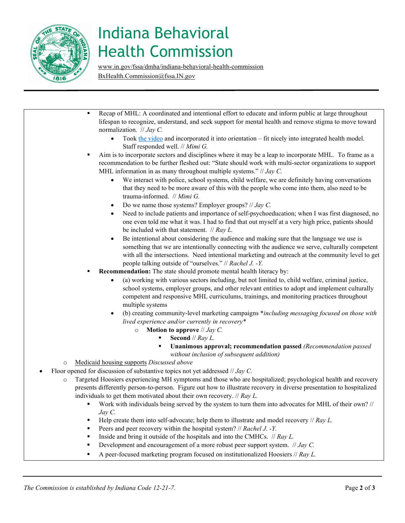

# Indiana Behavioral Health Commission

[www.in.gov/fssa/dmha/indiana-behavioral-health-commission](http://www.in.gov/fssa/dmha/indiana-behavioral-health-commission) [BxHealth.Commission@fssa.IN.gov](mailto:BxHealth.Commission@fssa.IN.gov) 

**Recap of MHL: A coordinated and intentional effort to educate and inform public at large throughout**  normalization. // *Jay C.*  • Took [the video](https://www.youtube.com/watch?v=-aXFzDyuALI) and incorporated it into orientation – fit nicely into integrated health model. Staff responded well. // *Mimi G.*  • Do we name those systems? Employer groups? // *Jay C.*   $\blacksquare$  Help create them into self-advocate; help them to illustrate and model recovery // *Ray L.* Inside and bring it outside of the hospitals and into the CMHCs. // *Ray L.* lifespan to recognize, understand, and seek support for mental health and remove stigma to move toward Aim is to incorporate sectors and disciplines where it may be a leap to incorporate MHL. To frame as a recommendation to be further fleshed out: "State should work with multi-sector organizations to support MHL information in as many throughout multiple systems." // *Jay C.*  • We interact with police, school systems, child welfare, we are definitely having conversations that they need to be more aware of this with the people who come into them, also need to be trauma-informed. // *Mimi G.*  Need to include patients and importance of self-psychoeducation; when I was first diagnosed, no one even told me what it was. I had to find that out myself at a very high price, patients should be included with that statement. // *Ray L.*  • Be intentional about considering the audience and making sure that the language we use is something that we are intentionally connecting with the audience we serve, culturally competent with all the intersections. Need intentional marketing and outreach at the community level to get people talking outside of "ourselves." // *Rachel J. -Y.*  **Recommendation:** The state should promote mental health literacy by: • (a) working with various sectors including, but not limited to, child welfare, criminal justice, school systems, employer groups, and other relevant entities to adopt and implement culturally competent and responsive MHL curriculums, trainings, and monitoring practices throughout multiple systems • (b) creating community-level marketing campaigns \**including messaging focused on those with lived experience and/or currently in recovery\**  o **Motion to approve** // *Jay C.*  **Second** // *Ray L.*  **Unanimous approval; recommendation passed** *(Recommendation passed without inclusion of subsequent addition)*  o Medicaid housing supports *Discussed above*  • Floor opened for discussion of substantive topics not yet addressed // *Jay C.*  o Targeted Hoosiers experiencing MH symptoms and those who are hospitalized; psychological health and recovery presents differently person-to-person. Figure out how to illustrate recovery in diverse presentation to hospitalized individuals to get them motivated about their own recovery. // *Ray L.*  Work with individuals being served by the system to turn them into advocates for MHL of their own? // *Jay C.*  Peers and peer recovery within the hospital system? // *Rachel J. -Y.*  Development and encouragement of a more robust peer support system. // *Jay C.*  A peer-focused marketing program focused on institutionalized Hoosiers // *Ray L.*